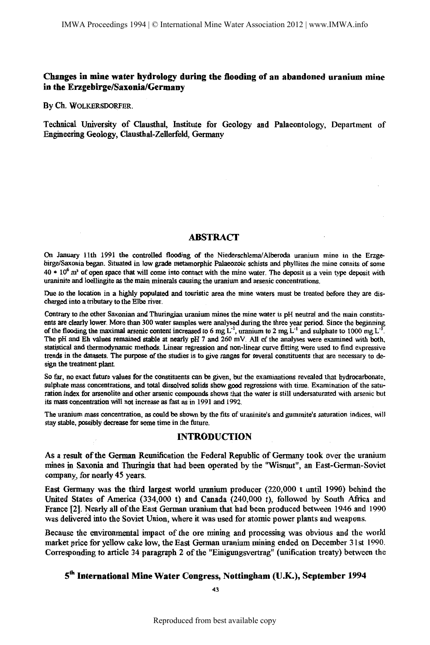By Ch. WOLKERSDORFER.

Technical University of Clausthal, Institute for Geology and Palaeontology, Department of Engineering Geology, Clausthal-Zellerfeld, Germany

#### **ABSTRACT**

On January 11th 1991 the controlled flooding of the Niederschlema/Aiberoda uranium mine in the Erzgebirge/Saxonia began. Situated in low grade metamorpbic Palaeozoic scbists and phyllites the mine consits of some 40 \* 10<sup>6</sup> m<sup>3</sup> of open space that will come into contact with the mine water. The deposit is a vein type deposit with uraninite and loellingite as the main minerals causing the uranium and arsenic concentrations.

Due to the location in a bighly populated and touristic area the mine waters must be treated before they are discharged into a tributary to the Elbe river.

Contrary to the other Saxonian and Thuringian uranium mines the mine water is pH neutral and the main constituents are clearly lower. More than 300 water samples were analysed during the three year period. Since the beginning of the flooding the maximal arsenic content increased to 6 mg L<sup>-1</sup>, uranium to 2 mg L<sup>-1</sup> and sulphate to 1000 mg L<sup>-1</sup> The pH and Eh values remained stable at nearly pH 7 and 260 mV. All of the analyses were examined with both, statistical and thermodynamic methods. Linear regression and non-linear curve fitting were used to find expressive trends in the datasets. The purpose of the studies is to give ranges for several constituents that are necessary to design the treatment plant.

So far, no exact future values for the constituents can be given, but the examinations revealed that hydrocarbonate. sulphate mass concentrations, and total dissolved solids show good regressions with time. Examination of the saturation index for arsenolite and other arsenic compounds shows that the water is still undersaturated with arsenic but its mass concentration will not increase as fast as in 1991 and 1992.

The uranium mass concentration, as could be shown by the fits of uraninite's and gummite's saturation indices, will stay stable, possibly decrease for some time in the future.

### INTRODUCTION

As a resuh of the German Reunification the Federal Republic of Germany took over the uranium mines in Saxonia and Thuringia that had been operated by the "Wismut", an East-German-Soviet company, for nearly 45 years.

East Germany was the third largest world uranium producer (220,000 t until 1990) behind the United States of America (334,000 t) and Canada (240,000 t), followed by South Afiica and France [2]. Nearly all of the East German uranium that had been produced between 1946 and 1990 was delivered into the Soviet Union, where it was used for atomic power plants and weapons.

Because the environmental impact of the ore mining and processing was obvious and the world market price for yellow cake low, the East German uranium mining ended on December 31st 1990. Corresponding to article 34 paragraph 2 of the "Einigungsvertrag" (unification treaty) between the

# 5<sup>th</sup> International Mine Water Congress, Nottingham (U.K.), September 1994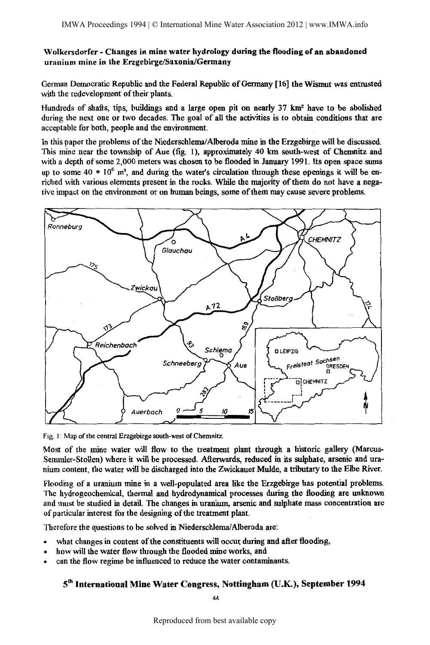German Democratic Republic and the Federal Republic of Germany [16] the Wismut was entrusted with the redevelopment of their plants.

Hundreds of shafts, tips, buildings and a large open pit on nearly 37 km2 have to be abolished during the next one or two decades. The goal of all the activities is to obtain conditions that are acceptable for both, people and the environment.

In this paper the problems of the Niederschlema/Alberoda mine in the Erzgebirge will be discussed. This mine near the township of Aue (fig. 1), approximately 40 km south-west of Chemnitz and with a depth of some 2,000 meters was chosen to be flooded in January 1991. Its open space sums up to some 40  $*$  10<sup>6</sup> m<sup>3</sup>, and during the water's circulation through these openings it will be enriched with various elements present in the rocks. While the majority of them do not have a negative impact on the environment or on human beings, some of them may cause severe problems.



Fig. 1: Map of the central Erzgebirge south-west of Chemnitz.

Most of the mine water will flow to the treatment plant through a historic gallery (Marcus-Semmler-Stollen) where it will be processed. Afterwards, reduced in its sulphate, arsenic and uranium content, the water will be discharged into the Zwickauer Mulde, a tributary to the Elbe River.

Flooding of a uranium mine in a well-populated area like the Erzgebirge has potential problems. The hydrogeochemical, thermal and hydrodynarnical processes during the flooding are unknown and must be studied in detail. The changes in uranium, arsenic and sulphate mass concentration are of particular interest for the designing of the treatment plant.

Therefore the questions to be solved in Niederschlema/Alberoda are:

- what changes in content of the constituents will occur during and after flooding,
- how will the water flow through the flooded mine works, and
- can the flow regime be influenced to reduce the water contaminants.

# 5<sup>th</sup> International Mine Water Congress, Nottingham (U.K.), September 1994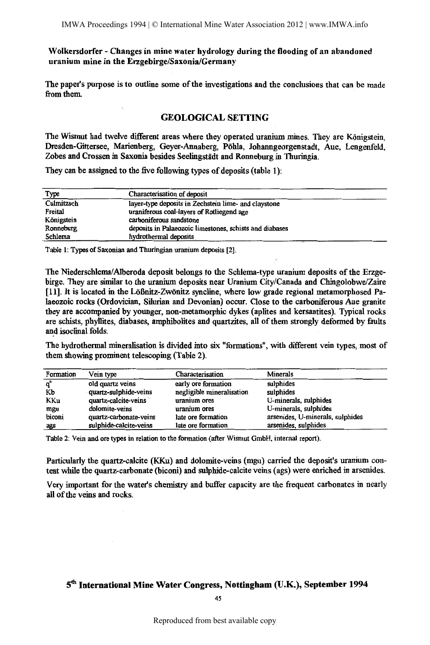The paper's purpose is to outline some of the investigations and the conclusions that can be made from them.

### GEOLOGICAL SETTING

The Wismut had twelve different areas where they operated uranium mines. They are Königstein, Dresden-Gittersee, Marienberg, Geyer-Annaberg, Pohla, Johanngeorgenstadt, Aue, Lengenfeld, Zobes and Crossen in Saxonia besides Seelingstädt and Ronneburg in Thuringia.

They can be assigned to the five following types of deposits (table 1):

| Type       | Characterisation of deposit                             |
|------------|---------------------------------------------------------|
| Culmitzsch | layer-type deposits in Zechstein lime- and claystone    |
| Freital    | uraniferous coal-layers of Rotliegend age               |
| Königstein | carboniferous sandstone                                 |
| Ronneburg  | deposits in Palaeozoic limestones, schists and diabases |
| Schlema    | hydrothermal deposits                                   |

Table 1: Types of Saxonian and Thuringian uranium deposits [2].

The Niederschlema/Alberoda deposit belongs to the Schlema-type uranium deposits of the Erzgebirge. They are similar to the uranium deposits near Uranium City/Canada and Chingolobwe/Zaire [11]. It is located in the LOfinitz-Zwonitz syncline, where low grade regional metamorphosed Palaeozoic rocks (Ordovician, Silurian and Devonian) occur. Close to the carboniferous Aue granite they are accompanied by younger, non-metamorphic dykes (aplites and kersantites). Typical rocks are schists, phyllites, diabases, amphibolites and quartzites, all of them strongly deformed by faults and isoclinal folds.

The hydrothermal mineralisation is divided into six "formations", with different vein types, most of them showing prominent telescoping (Table 2).

| Formation | Vein type              | Characterisation          | Minerals                         |
|-----------|------------------------|---------------------------|----------------------------------|
| $q^a$     | old quartz veins       | early ore formation       | sulphides                        |
| Кb        | quartz-sulphide-veins  | negligible mineralisation | sulphides                        |
| KKu       | quartz-calcite-veins   | uranium ores              | U-minerals, sulphides            |
| mgu       | dolomite-veins         | uranium ores              | U-minerals, sulphides            |
| biconi    | quartz-carbonate-veins | late ore formation        | arsenides, U-minerals, sulphides |
| ags       | sulphide-calcite-veins | late ore formation        | arsenides, sulphides             |

Table 2: Vein and ore types in relation to the formation (after Wismut GmbH, internal report).

Particularly the quartz-calcite (KKu) and dolomite-veins (mgu) carried the deposit's uranium content while the quartz-carbonate (biconi) and sulphide-calcite veins ( ags) were enriched in arsenides.

Very important for the water's chemistry and buffer capacity are the frequent carbonates in nearly all of the veins and rocks.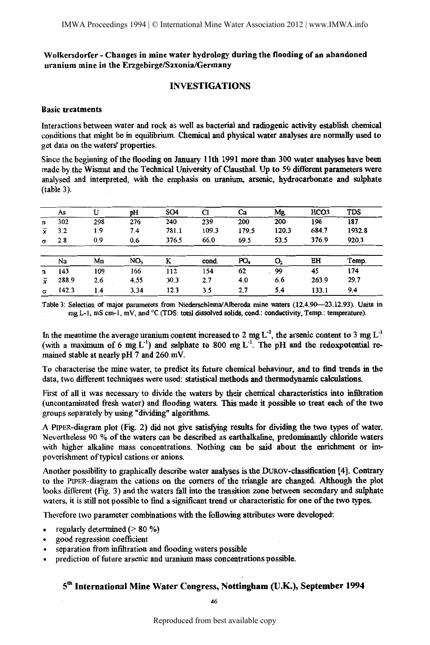### INVESTIGATIONS

#### Basic treatments

Interactions between water and rock as well as bacterial and radiogenic activity establish chemical conditions that might be in equilibrium. Chemical and physical water analyses are normally used to get data on the waters' properties.

Since the beginning of the flooding on January lith 1991 more than 300 water analyses have been made by the Wismut and the Technical University of Clausthal. Up to 59 different parameters were analysed and interpreted, with the emphasis on uranium, arsenic, hydrocarbonate and sulphate (table 3).

|                | As    | U   | pH              | SO <sub>4</sub> | C1    | Ca    | Mg      | HCO <sub>3</sub> | TDS    |
|----------------|-------|-----|-----------------|-----------------|-------|-------|---------|------------------|--------|
| n              | 302   | 298 | 276             | 240             | 239   | 200   | $200 -$ | 196              | 187    |
| $\overline{x}$ | 3.2   | 1.9 | 7.4             | 781.1           | 109.3 | 179.5 | 120.3   | 684.7            | 1932.8 |
| $\sigma$       | 2.8   | 0.9 | 0.6             | 376.5           | 66.0  | 69.5  | 53.5    | 376.9            | 920.3  |
|                |       |     |                 |                 |       |       |         |                  |        |
|                | Na    | Mn  | NO <sub>3</sub> | ĸ               | cond. | PO4   | 0,      | EH               | Temp.  |
| $\mathbf n$    | 143   | 109 | 166             | 112             | 154   | 62    | 99      | 45               | 174    |
| x              | 288.9 | 2.6 | 4.55            | 30.3            | 2.7   | 4.0   | 6.6     | 263.9            | 29.7   |
| σ              | 142.3 | 1.4 | 3.34            | 12.3            | 3.5   | 2.7   | 5.4     | 133.1            | 9.4    |

Table 3: Selection of major parameters from Niederschlema/Alberoda mine waters (12.4.90-23.12.93). Units in mgL-1, mS cm-1, mV, and °C (TDS: total dissolved solids, cond.: conductivity, Temp.: temperature).

In the meantime the average uranium content increased to 2 mg L<sup>-1</sup>, the arsenic content to 3 mg L<sup>-1</sup> (with a maximum of 6 mg  $L^{-1}$ ) and sulphate to 800 mg  $L^{-1}$ . The pH and the redoxpotential remained stable at nearly pH 7 and 260 mV.

To characterise the mine water, to predict its future chemical behaviour, and to find trends in the data, two different techniques were used: statistical methods and thermodynamic calculations.

First of all it was necessary to divide the waters by their chemical characteristics into infiltration (uncontaminated fresh water) and flooding waters. This made it possible to treat each of the two groups separately by using "dividing" algorithms.

A PIPER-diagram plot (Fig. 2) did not give satisfying results for dividing the two types of water. Nevertheless 90 %of the waters can be described as earthalkaline, predominantly chloride waters with higher alkaline mass concentrations. Nothing can be said about the enrichment or impoverishment of typical cations or anions.

Another possibility to graphically describe water analyses is the DUROV-classification [4]\_ Contrary to the PIPER-diagram the cations on the comers of the triangle are changed. Although the plot looks different (Fig. 3) and the waters fall into the transition zone between secondary and sulphate waters, it is still not possible to find a significant trend or characteristic for one of the two types.

Therefore two parameter combinations with the following attributes were developed:

- regularly determined (> 80 %)  $\bullet$
- good regression coefficient
- separation from infiltration and flooding waters possible
- prediction of future arsenic and uranium mass concentrations possible.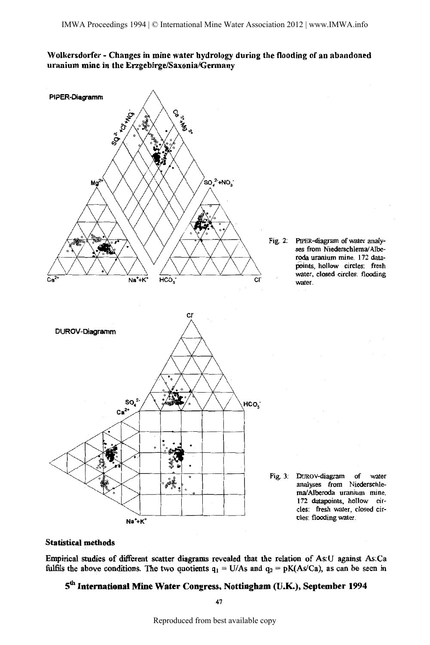

### Statistical methods

Empirical studies of different scatter diagrams revealed that the relation of As:U against As:Ca fulfils the above conditions. The two quotients  $q_1 = U/As$  and  $q_2 = pK(As/Ca)$ , as can be seen in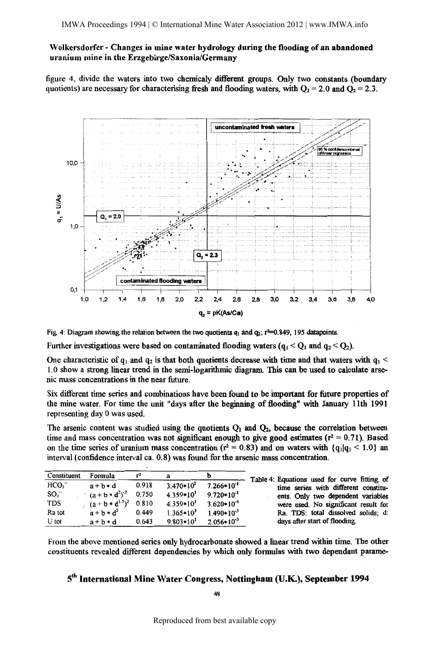figure 4, divide the waters into two chemicaly different groups. Only two constants (boundary quotients) are necessary for characterising fresh and flooding waters, with  $Q_1 = 2.0$  and  $Q_2 = 2.3$ .



Fig. 4: Diagram showing the relation between the two quotients  $q_1$  and  $q_2$ ;  $r=0.849$ , 195 datapoints.

Further investigations were based on contaminated flooding waters  $(q_1 < Q_1$  and  $q_2 < Q_2$ ).

One characteristic of  $q_1$  and  $q_2$  is that both quotients decrease with time and that waters with  $q_1$ l.O show a strong linear trend in the semi-logarithmic diagram. This can be used to calculate arsenic mass concentrations in the near future.

Six different time series and combinations have been found to be important for future properties of the mine water. For time the unit "days after the beginning of flooding" with January 11th 1991 representing day 0 was used.

The arsenic content was studied using the quotients  $Q_1$  and  $Q_2$ , because the correlation between time and mass concentration was not significant enough to give good estimates ( $r^2 = 0.71$ ). Based on the time series of uranium mass concentration ( $r^2 = 0.83$ ) and on waters with  $\{q_1 | q_1 \leq 1.0\}$  and interval (confidence interval ca. 0. 8) was found for the arsenic mass concentration.

| Constituent      | Formula               | r <sup>2</sup> |                |                 | Table 4: Equations used for curve fitting of |
|------------------|-----------------------|----------------|----------------|-----------------|----------------------------------------------|
| HCO <sub>3</sub> | $a + b * d$           | 0.918          | $3.470*10^2$   | $7.266*10^{-1}$ | time series with different constitu-         |
| SO <sub>a</sub>  | $(a + b * d^2)^{-2}$  | 0.750          | $4.359*10^{1}$ | $9.720*10^{-1}$ | ents. Only two dependent variables           |
| TDS              | $(a + b * d^{1.5})^2$ | 0.810          | $4.359*101$    | $3.620*10^{-4}$ | were used. No significant result for         |
| Ra tot           | $a + b * d^2$         | 0.449          | $1.365*10^3$   | $1.490*10^{3}$  | Ra. TDS: total dissolved solids; d:          |
| U tot            | $a + b * d$           | 0.643          | $9.803*101$    | $2.056*10^{-3}$ | days after start of flooding.                |

From the above mentioned series only hydrocarbonate showed a linear trend within time. The other constituents revealed different dependencies by which only formnlas with two dependant parame-

### 5'h International Mine Water Congress, Nottingham (U.K.), September 1994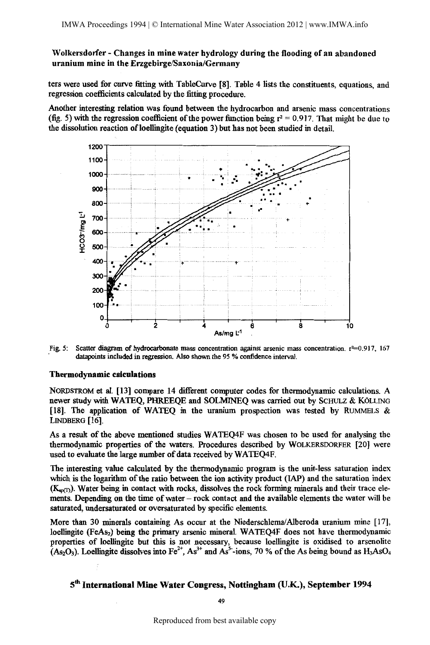ters were used for curve fitting with TableCurve [8]. Table 4 lists the constituents, equations, and regression coefficients calculated by the fitting procedure.

Another interesting relation was found between the hydrocarbon and arsenic mass concentrations (fig. 5) with the regression coefficient of the power function being  $r^2 = 0.917$ . That might be due to the dissolution reaction ofloellingite (equation 3) but has not been studied in detail.



Fig. 5: Scatter diagram of hydrocarbonate mass concentration against arsenic mass concentration.  $r^2=0.917$ , 167 datapoints included in regression. Also shown the 95 % confidence interval.

#### Thermodynamic calculations

NORDSTROM et al. [13] compare 14 different computer codes for thermodynamic calculations. A newer study with WATEQ, PHREEQE and SOLMINEQ was carried out by SCHULZ & KOLLING [18]. The application of WATEQ in the uranimn prospection was tested by RUMMELS & LINDBERG [16].

As a result of the above mentioned studies WATEQ4F was chosen to be used for analysing the thermodynamic properties of the waters. Procedures described by WOLKERSDORFER [20) were used to evaluate the large number of data received by WATEO4F.

The interesting value calculated by the thermodynamic program is the unit-less saturation index which is the logarithm of the ratio between the ion activity product (IAP) and the saturation index  $(K_{\text{soft}})$ . Water being in contact with rocks, dissolves the rock forming minerals and their trace elements. Depending on the time of water- rock contact and the available elements the water will be saturated, undersaturated or oversaturated by specific elements.

More than 30 minerals containing As occur at the Niederschlema/Alberoda uranium mine [17], loellingite (FeAs<sub>2</sub>) being the primary arsenic mineral. WATEQ4F does not have thermodynamic properties of loellingite but this is not necessary, because loellingite is oxidised to arsenolite (As<sub>2</sub>O<sub>3</sub>). Loellingite dissolves into Fe<sup>2+</sup>, As<sup>3+</sup> and As<sup>5</sup>-ions, 70 % of the As being bound as H<sub>3</sub>AsO<sub>4</sub>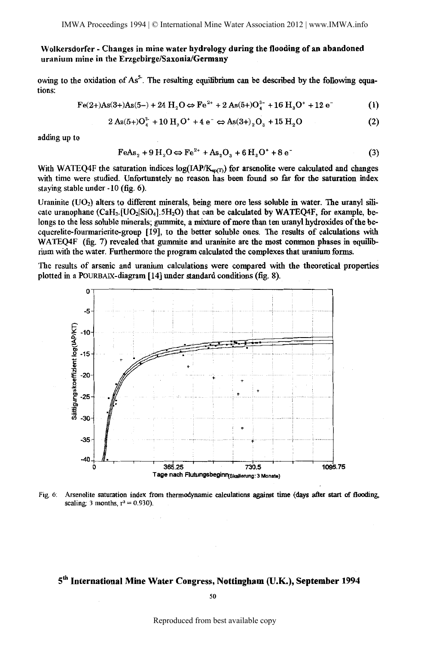owing to the oxidation of  $As<sup>5</sup>$ . The resulting equilibrium can be described by the following equations:

$$
Fe(2+)As(3+)As(5-) + 24 H_2O \Leftrightarrow Fe^{2+} + 2 As(5+)O_4^{3-} + 16 H_3O^+ + 12 e^-
$$
 (1)

$$
2 \text{ As}(5+)O_4^{3-} + 10 \text{ H}_3\text{O}^+ + 4 \text{ e}^- \Leftrightarrow \text{As}(3+)_{2}\text{O}_3 + 15 \text{ H}_2\text{O}
$$
 (2)

adding up to

$$
FeAs2 + 9H2O \Leftrightarrow Fe2+ + As2O3 + 6H3O+ + 8e
$$
 (3)

With WATEQ4F the saturation indices log(IAP/K<sub>sp(T)</sub>) for arsenolite were calculated and changes with time were studied. Unfortunately no reason has been found so far for the saturation index staying stable under -10 (fig. 6).

Uraninite (UO<sub>2</sub>) alters to different minerals, being more ore less soluble in water. The uranyl silicate uranophane (CaH<sub>2</sub>.[UO<sub>2</sub>|SiO<sub>4</sub>].5H<sub>2</sub>O) that can be calculated by WATEQ4F, for example, belongs to the less soluble minerals; gummite, a mixture of more than ten uranyl hydroxides of the becquerelite-fourmarierite-group [19], to the better soluble ones. The results of calculations with WATEO4F (fig. 7) revealed that gummite and uraninite are the most common phases in equilibrium with the water. Furthermore the program calculated the complexes that uranium forms.

The results of arsenic and uranium calculations were compared with the theoretical properties plotted in a POURBAIX-diagram [14] under standard conditions (fig. 8).



Fig. 6: Arsenolite saturation index from thermodynamic calculations against time (days after start of flooding, scaling: 3 months,  $r^2 = 0.930$ .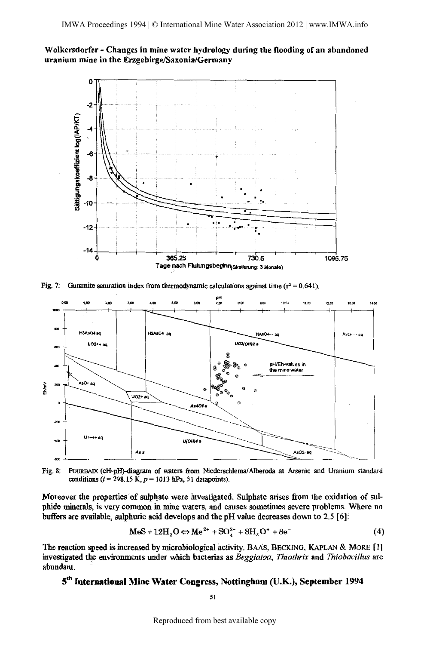

Fig. 7: Gummite saturation index from thermodynamic calculations against time  $(r^2 = 0.641)$ .





Moreover the properties of sulphate were investigated. Sulphate arises from the oxidation of sulphide minerals, is very common in mine waters, and causes sometimes severe problems. Where no buffers are available, sulphuric acid develops and the pH value decreases down to 2.5 [6]:

$$
\text{MeS} + 12\text{H}_2\text{O} \Leftrightarrow \text{Me}^{2+} + \text{SO}_4^{2-} + 8\text{H}_3\text{O}^+ + 8\text{e}^- \tag{4}
$$

The reaction speed is increased by microbiological activity. BAAs, BECKlNG, KAPLAN & MoRE [ l] investigated the environments under which bacterias as *Beggiatoa, Thiothrix* and *Thiobacillus* are abundant.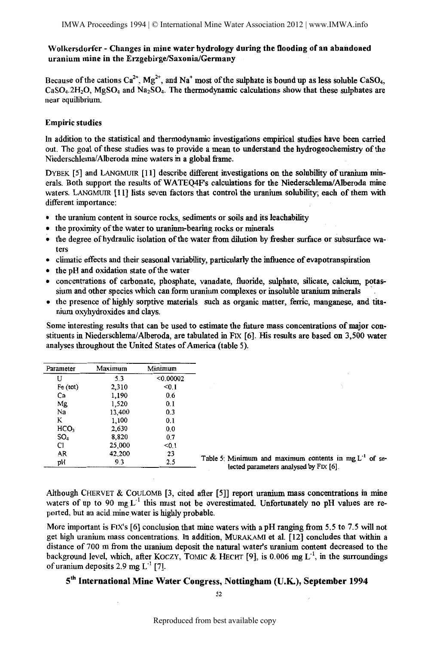Because of the cations  $Ca^{2+}$ , Mg<sup>2+</sup>, and Na<sup>+</sup> most of the sulphate is bound up as less soluble CaSO<sub>4</sub>,  $CaSO<sub>4</sub>.2H<sub>2</sub>O$ ,  $MgSO<sub>4</sub>$  and  $Na<sub>2</sub>SO<sub>4</sub>$ . The thermodynamic calculations show that these sulphates are near equilibrium.

### Empiric studies

In addition to the statistical and thermodynamic investigations empirical studies have been carried out. The goal of these studies was to provide a mean to understand the hydrogeochemistry of the Niederschlema/Alberoda mine waters in a global frame.

DYBEK [5) and LANGMUIR [11) describe different investigations on the solubility of uranium minerals. Both support the results of WATEQ4F's calculations for the Niederschlema/Alberoda mine waters. LANGMUIR [II] lists seven factors that control the uranium solubility; each of them with different importance:

- the uranium content in source rocks, sediments or soils and its leachability
- the proximity of the water to uranium-bearing rocks or minerals
- the degree of hydraulic isolation of the water from dilution by fresher surface or subsurface waters
- climatic effects and their seasonal variability, particularly the influence of evapotranspiration
- the pH and oxidation state of the water
- concentrations of carbonate, phosphate, vanadate, fluoride, sulphate, silicate, calcium, potassium and other species which can form uranium complexes or insoluble uranium minerals
- the presence of highly sorptive materials such as organic matter, ferric, manganese, and titanium oxyhydroxides and clays.

Some interesting results that can be used to estimate the future mass concentrations of major constituents in Niederschlema/ Alberoda, are tabulated in FIX [6). His results are based on 3,500 water analyses throughout the United States of America (table 5).

| Parameter        | Maximum | Minimum   |                                                                                                    |
|------------------|---------|-----------|----------------------------------------------------------------------------------------------------|
| U                | 5.3     | < 0.00002 |                                                                                                    |
| Fe (tot)         | 2,310   | < 0.1     |                                                                                                    |
| Ca               | 1,190   | 0.6       |                                                                                                    |
| Mg               | 1,520   | 0.1       |                                                                                                    |
| Na               | 13,400  | 0.3       |                                                                                                    |
| K                | 1,100   | 0.1       |                                                                                                    |
| HCO <sub>3</sub> | 2.630   | 0.0       |                                                                                                    |
| SO <sub>4</sub>  | 8,820   | 0.7       |                                                                                                    |
| C1               | 25,000  | < 0.1     |                                                                                                    |
| AR               | 42,200  | 23        |                                                                                                    |
| pH               | 9.3     | 2.5       | Table 5: Minimum and maximum contents in mg $L-1$ of se-<br>lected parameters analysed by FIX [6]. |

Although CHERVET & COULOMB [3, cited after [5]) report uranium mass concentrations in mine waters of up to 90 mg  $L^{-1}$  this must not be overestimated. Unfortunately no pH values are reported, but an acid. mine water is highly probable.

More important is FIX's [6] conclusion that mine waters with a pH ranging from 5.5 to 7.5 will not get high uranium mass concentrations. In addition, MURAKAMI et al. [I2] concludes that within a distance of 700 m from the uranium deposit the natural water's uranium content decreased to the background level, which, after KOCZY, TOMIC & HECHT [9], is 0.006 mg  $L<sup>-1</sup>$ , in the surroundings of uranium deposits 2.9 mg  $L^{-1}$  [7].

# 5<sup>th</sup> International Mine Water Congress, Nottingham (U.K.), September 1994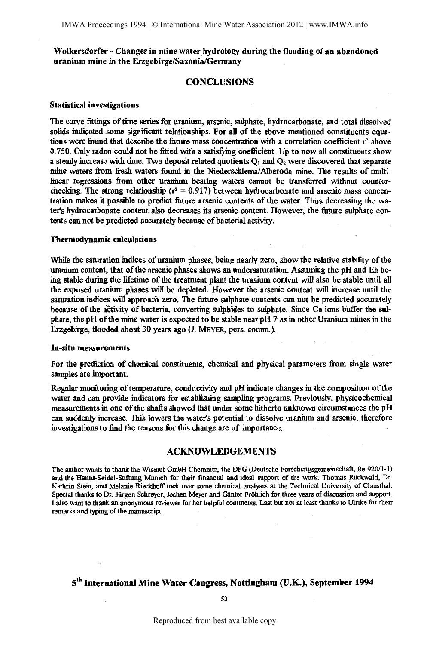#### **CONCLUSIONS**

#### Statistical investigations

The curve fittings of time series for uranium, arsenic, sulphate, hydrocarbonate, and total dissolved solids indicated some significant relationships. For all of the above mentioned constituents equations were found that describe the future mass concentration with a correlation coefficient  $r^2$  above 0. 750. Only radon conld not be fitted with a satisfying coefficient. Up to now all constituents show a steady increase with time. Two deposit related quotients  $Q_1$  and  $Q_2$  were discovered that separate mine waters from fresh waters found in the Niederschlema/Alberoda mine. The results of multilinear regressions from other uranium bearing waters cannot be transferred without counterchecking. The strong relationship ( $r^2 = 0.917$ ) between hydrocarbonate and arsenic mass concentration makes it possible to predict future arsenic contents of the water. Thus decreasing the water's hydrocarbonate content also decreases its arsenic content. However, the future sulphate contents can not be predicted accurately because of bacterial activity.

#### Thermodynamic calculations

While the saturation indices of uranium phases, being nearly zero, show the relative stability of the uranium content, that of the arsenic phases shows an undersaturation. Assuming the pH and Eh being stable during the lifetime of the treatment plant the uranium content will also be stable until all the exposed uranium phases will be depleted. However the arsenic content will increase until the saturation indices will approach zero. The future sulphate contents can not be predicted accurately because of the activity of bacteria, converting sulphides to sulphate. Since Ca-ions buffer the sulphate, the pH of the mine water is expected to be stable near pH 7 as in other Uranium mines in the Erzgebirge, flooded about 30 years ago (J. MEYER, pers. comm.).

#### In-situ measurements

For the prediction of chemical constituents, chemical and physical parameters from single water samples are important.

Regnlar monitoring of temperature, conductivity and pH indicate changes in the composition of the water and can provide indicators for establishing sampling programs. Previously, physicochemical measurements in one of the shafts showed that under some hitherto unknown circumstances the pH can suddenly increase. This lowers the water's potential to dissolve uranium and arsenic, therefore investigations to find the reasons for this change are of importance.

#### ACKNOWLEDGEMENTS

The author wants to thank the Wismut GmbH Chemnitz, the DFG (Deutsche Forschungsgemeinschaft, Re 920/1-1) and the Hanns-Seidel-Stiftung Munich for their financial and ideal support of the work. Thomas Riickwald, Dr. Kathrin Stein, and Melanie Rieckhoff took over some chemical analyses at the Technical University of Clausthal. Special thanks to Dr. Jiirgen Schreyer, Jochen Meyer and Giinter Frohlich for three years of discussion and support. I also want to thank an anonymous reviewer for her helpful comments. Last but not at least thanks to Ulrike for their remarks and typing of the manuscript.

# 5<sup>th</sup> International Mine Water Congress, Nottingham (U.K.), September 1994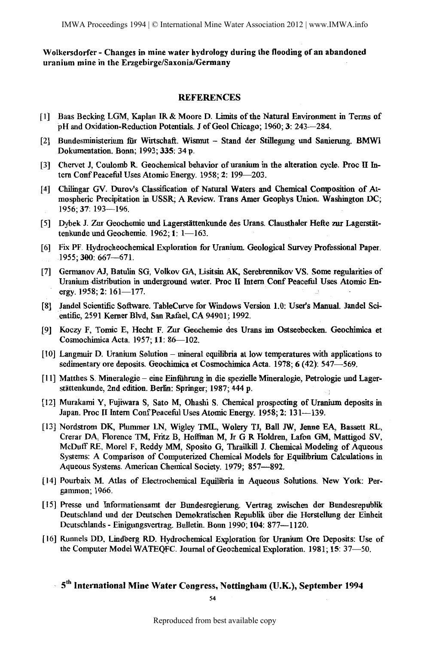#### **REFERENCES**

- [I] Baas Becking LGM, Kaplan IR & Moore D. Limits of the Natural Environment in Terms of pH and Oxidation-Reduction Potentials. J of Geol Chicago; 1960; 3: 243-284.
- [2] Bundesministerium für Wirtschaft. Wismut Stand der Stillegung und Sanierung. BMWI Dokumentation. Bonn; 1993; 335: 34 p.
- [3] Chervet J, Coulomb R. Geochemical behavior of uranium in the alteration cycle. Proc II Intern Conf Peaceful Uses Atomic Energy. 1958; 2: 199-203.
- [4] Chilingar GV. Durov's Classification of Natural Waters and Chemical Composition of Atmospheric Precipitation in USSR; A Review. Trans Amer Geophys Union. Washington DC; 1956; 37: 193-196.
- [5] Dybek J. Zur Geochemie und Lagerstättenkunde des Urans. Clausthaler Hefte zur Lagerstättenkunde und Geochemie. 1962; 1: 1-163.
- [6] Fix PF. Hydrocheochemical Exploration for Uranium. Geological Survey Professional Paper. 1955; 300: 667-671.
- [7] Germanov AJ, Batulin SG, Volkov GA, Lisitsin AK, Serebrennikov VS. Some regularities of Uranium distribution in underground water. Proc II Intern Conf Peaceful Uses Atomic Energy. 1958; 2: 161-177.
- [8] Jandel Scientific Software. TableCurve for Windows Version 1.0: User's Manual. Jandel Scientific, 2591 Kerner Blvd, San Rafael, CA 94901; 1992.
- [9] Koczy F, Tomic E, Hecht F. Zur Geochemie des Urans im Ostseebecken. Geochimica et Cosmochimica Acta. 1957; 11: 86-102.
- [10] Langmuir D. Uranium Solution- mineral equilibria at low temperatures with applications to sedimentary ore deposits. Geochimica et Cosmochimica Acta. 1978; 6 (42): 547-569.
- [ 11] Matthes S. Mineralogie eine Einfiihrung in die spezielle Mineralogie, Petrologie und Lagerstättenkunde, 2nd edition. Berlin: Springer; 1987; 444 p.
- [12] Murakami Y, Fujiwara S, Sato M, Ohashi S. Chemical prospecting of Uranium deposits in Japan. Proc II Intern Conf Peaceful Uses Atomic Energy. 1958; 2: 131—139.
- [13] Nordstrom DK, Plummer LN, Wigley TML, Wolery TJ, Ball JW, Jenne EA, Bassett RL, Crerar DA, Florence TM, Fritz B, Hoffinan M, Jr G R Holdren, Lafon GM, Mattigod SV, McDuff RE, Morel F, Reddy MM, Sposito G, Thrailkill J. Chemical Modeling of Aqueous Systems: A Comparison of Computerized Chemical Models for Equilibrium Calculations in Aqueous Systems. American Chemical Society. 1979; 857-892.
- [14] Pourbaix M. Atlas of Electrochemical Equilibria in Aqueous Solutions. New York: Pergammon; 1966.
- [ 15] Presse und Informationsamt der Bundesregierung. Vertrag zwischen der Bundesrepublik Deutschland und der Deutschen Demokratischen Republik iiber die Herstellung der Einheit Deutschlands - Einigungsvertrag. Bulletin. Bonn 1990; 104: 877-1120.
- [ 16] Runnels DD, Lindberg RD. Hydrochemical Exploration for Uranium Ore Deposits: Use of the Computer Model WATEQFC. Journal of Geochemical Exploration. 1981; 15: 37-50.

5<sup>th</sup> International Mine Water Congress, Nottingham (U.K.), September 1994